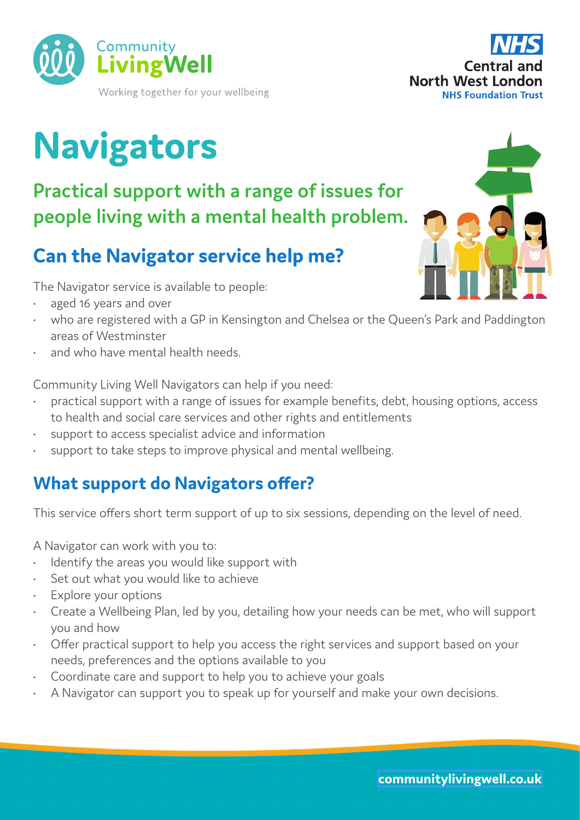

# **Navigators**

**Practical support with a range of issues for people living with a mental health problem.** 

# **Can the Navigator service help me?**

The Navigator service is available to people:

- aged 16 years and over
- who are registered with a GP in Kensington and Chelsea or the Queen's Park and Paddington areas of Westminster
- and who have mental health needs.

Community Living Well Navigators can help if you need:

- practical support with a range of issues for example benefits, debt, housing options, access to health and social care services and other rights and entitlements
- support to access specialist advice and information
- support to take steps to improve physical and mental wellbeing.

## **What support do Navigators offer?**

This service offers short term support of up to six sessions, depending on the level of need.

A Navigator can work with you to:

- Identify the areas you would like support with
- Set out what you would like to achieve
- Explore your options
- Create a Wellbeing Plan, led by you, detailing how your needs can be met, who will support you and how
- Offer practical support to help you access the right services and support based on your needs, preferences and the options available to you
- Coordinate care and support to help you to achieve your goals
- A Navigator can support you to speak up for yourself and make your own decisions.